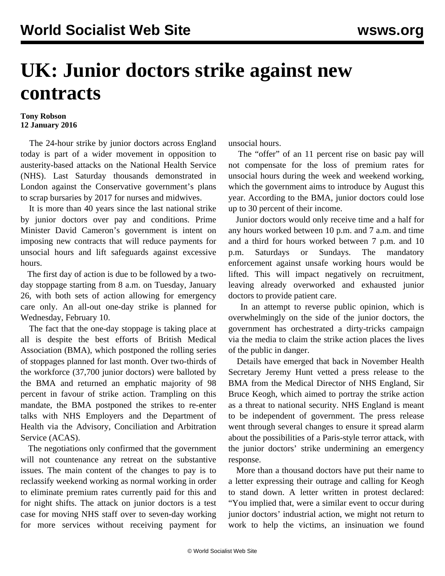## **UK: Junior doctors strike against new contracts**

## **Tony Robson 12 January 2016**

 The 24-hour strike by junior doctors across England today is part of a wider movement in opposition to austerity-based attacks on the National Health Service (NHS). Last Saturday thousands demonstrated in London against the Conservative government's plans to scrap bursaries by 2017 for nurses and midwives.

 It is more than 40 years since the last national strike by junior doctors over pay and conditions. Prime Minister David Cameron's government is intent on imposing new contracts that will reduce payments for unsocial hours and lift safeguards against excessive hours.

 The first day of action is due to be followed by a twoday stoppage starting from 8 a.m. on Tuesday, January 26, with both sets of action allowing for emergency care only. An all-out one-day strike is planned for Wednesday, February 10.

 The fact that the one-day stoppage is taking place at all is despite the best efforts of British Medical Association (BMA), which postponed the rolling series of stoppages planned for last month. Over two-thirds of the workforce (37,700 junior doctors) were balloted by the BMA and returned an emphatic majority of 98 percent in favour of strike action. Trampling on this mandate, the BMA postponed the strikes to re-enter talks with NHS Employers and the Department of Health via the Advisory, Conciliation and Arbitration Service (ACAS).

 The negotiations only confirmed that the government will not countenance any retreat on the substantive issues. The main content of the changes to pay is to reclassify weekend working as normal working in order to eliminate premium rates currently paid for this and for night shifts. The attack on junior doctors is a test case for moving NHS staff over to seven-day working for more services without receiving payment for unsocial hours.

 The "offer" of an 11 percent rise on basic pay will not compensate for the loss of premium rates for unsocial hours during the week and weekend working, which the government aims to introduce by August this year. According to the BMA, junior doctors could lose up to 30 percent of their income.

 Junior doctors would only receive time and a half for any hours worked between 10 p.m. and 7 a.m. and time and a third for hours worked between 7 p.m. and 10 p.m. Saturdays or Sundays. The mandatory enforcement against unsafe working hours would be lifted. This will impact negatively on recruitment, leaving already overworked and exhausted junior doctors to provide patient care.

 In an attempt to reverse public opinion, which is overwhelmingly on the side of the junior doctors, the government has orchestrated a dirty-tricks campaign via the media to claim the strike action places the lives of the public in danger.

 Details have emerged that back in November Health Secretary Jeremy Hunt vetted a press release to the BMA from the Medical Director of NHS England, Sir Bruce Keogh, which aimed to portray the strike action as a threat to national security. NHS England is meant to be independent of government. The press release went through several changes to ensure it spread alarm about the possibilities of a Paris-style terror attack, with the junior doctors' strike undermining an emergency response.

 More than a thousand doctors have put their name to a letter expressing their outrage and calling for Keogh to stand down. A letter written in protest declared: "You implied that, were a similar event to occur during junior doctors' industrial action, we might not return to work to help the victims, an insinuation we found